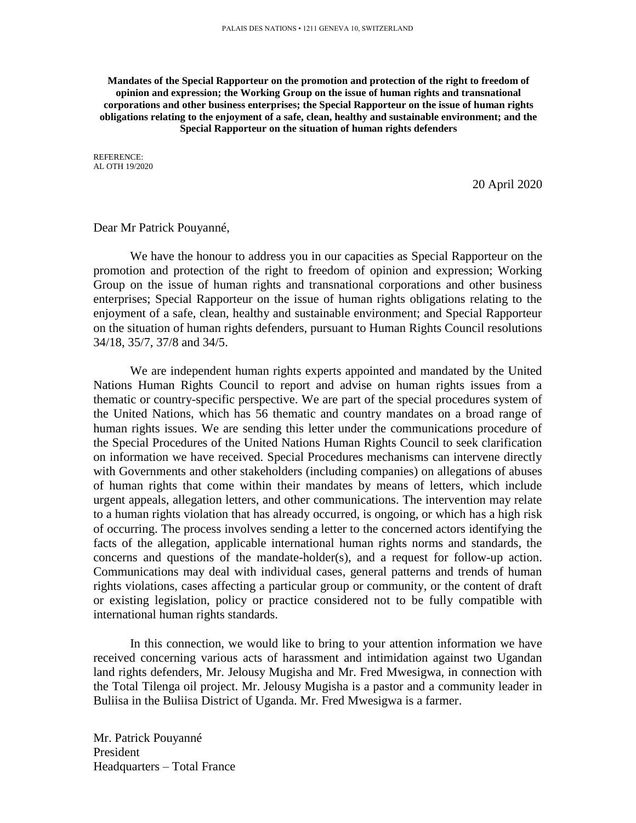**Mandates of the Special Rapporteur on the promotion and protection of the right to freedom of opinion and expression; the Working Group on the issue of human rights and transnational corporations and other business enterprises; the Special Rapporteur on the issue of human rights obligations relating to the enjoyment of a safe, clean, healthy and sustainable environment; and the Special Rapporteur on the situation of human rights defenders**

REFERENCE: AL OTH 19/2020

20 April 2020

Dear Mr Patrick Pouyanné,

We have the honour to address you in our capacities as Special Rapporteur on the promotion and protection of the right to freedom of opinion and expression; Working Group on the issue of human rights and transnational corporations and other business enterprises; Special Rapporteur on the issue of human rights obligations relating to the enjoyment of a safe, clean, healthy and sustainable environment; and Special Rapporteur on the situation of human rights defenders, pursuant to Human Rights Council resolutions 34/18, 35/7, 37/8 and 34/5.

We are independent human rights experts appointed and mandated by the United Nations Human Rights Council to report and advise on human rights issues from a thematic or country-specific perspective. We are part of the special procedures system of the United Nations, which has 56 thematic and country mandates on a broad range of human rights issues. We are sending this letter under the communications procedure of the Special Procedures of the United Nations Human Rights Council to seek clarification on information we have received. Special Procedures mechanisms can intervene directly with Governments and other stakeholders (including companies) on allegations of abuses of human rights that come within their mandates by means of letters, which include urgent appeals, allegation letters, and other communications. The intervention may relate to a human rights violation that has already occurred, is ongoing, or which has a high risk of occurring. The process involves sending a letter to the concerned actors identifying the facts of the allegation, applicable international human rights norms and standards, the concerns and questions of the mandate-holder(s), and a request for follow-up action. Communications may deal with individual cases, general patterns and trends of human rights violations, cases affecting a particular group or community, or the content of draft or existing legislation, policy or practice considered not to be fully compatible with international human rights standards.

In this connection, we would like to bring to your attention information we have received concerning various acts of harassment and intimidation against two Ugandan land rights defenders, Mr. Jelousy Mugisha and Mr. Fred Mwesigwa, in connection with the Total Tilenga oil project. Mr. Jelousy Mugisha is a pastor and a community leader in Buliisa in the Buliisa District of Uganda. Mr. Fred Mwesigwa is a farmer.

Mr. Patrick Pouyanné President Headquarters – Total France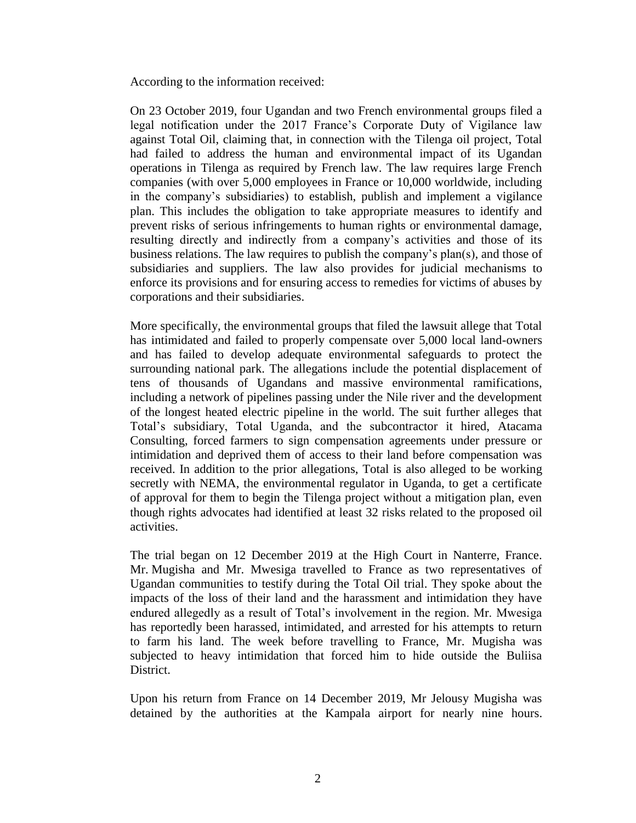According to the information received:

On 23 October 2019, four Ugandan and two French environmental groups filed a legal notification under the 2017 France's Corporate Duty of Vigilance law against Total Oil, claiming that, in connection with the Tilenga oil project, Total had failed to address the human and environmental impact of its Ugandan operations in Tilenga as required by French law. The law requires large French companies (with over 5,000 employees in France or 10,000 worldwide, including in the company's subsidiaries) to establish, publish and implement a vigilance plan. This includes the obligation to take appropriate measures to identify and prevent risks of serious infringements to human rights or environmental damage, resulting directly and indirectly from a company's activities and those of its business relations. The law requires to publish the company's plan(s), and those of subsidiaries and suppliers. The law also provides for judicial mechanisms to enforce its provisions and for ensuring access to remedies for victims of abuses by corporations and their subsidiaries.

More specifically, the environmental groups that filed the lawsuit allege that Total has intimidated and failed to properly compensate over 5,000 local land-owners and has failed to develop adequate environmental safeguards to protect the surrounding national park. The allegations include the potential displacement of tens of thousands of Ugandans and massive environmental ramifications, including a network of pipelines passing under the Nile river and the development of the longest heated electric pipeline in the world. The suit further alleges that Total's subsidiary, Total Uganda, and the subcontractor it hired, Atacama Consulting, forced farmers to sign compensation agreements under pressure or intimidation and deprived them of access to their land before compensation was received. In addition to the prior allegations, Total is also alleged to be working secretly with NEMA, the environmental regulator in Uganda, to get a certificate of approval for them to begin the Tilenga project without a mitigation plan, even though rights advocates had identified at least 32 risks related to the proposed oil activities.

The trial began on 12 December 2019 at the High Court in Nanterre, France. Mr. Mugisha and Mr. Mwesiga travelled to France as two representatives of Ugandan communities to testify during the Total Oil trial. They spoke about the impacts of the loss of their land and the harassment and intimidation they have endured allegedly as a result of Total's involvement in the region. Mr. Mwesiga has reportedly been harassed, intimidated, and arrested for his attempts to return to farm his land. The week before travelling to France, Mr. Mugisha was subjected to heavy intimidation that forced him to hide outside the Buliisa District.

Upon his return from France on 14 December 2019, Mr Jelousy Mugisha was detained by the authorities at the Kampala airport for nearly nine hours.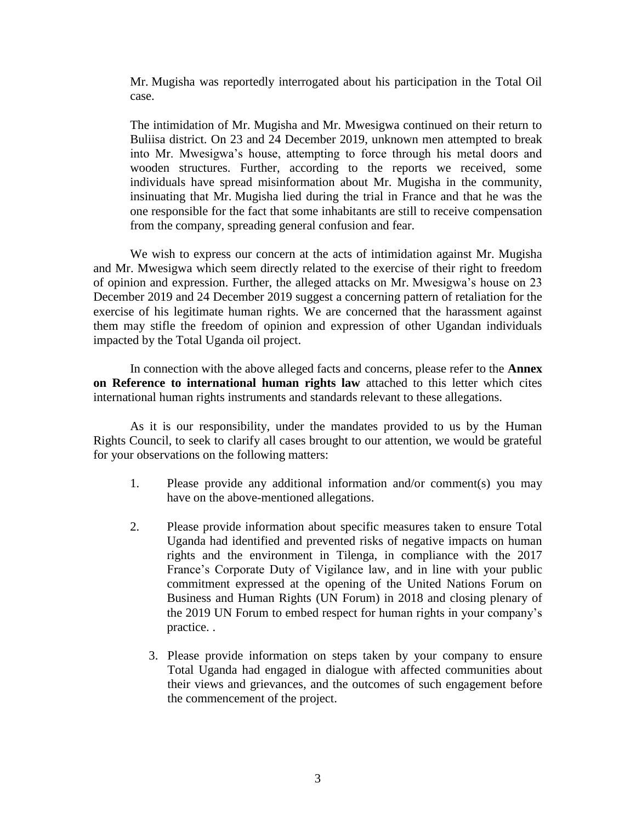Mr. Mugisha was reportedly interrogated about his participation in the Total Oil case.

The intimidation of Mr. Mugisha and Mr. Mwesigwa continued on their return to Buliisa district. On 23 and 24 December 2019, unknown men attempted to break into Mr. Mwesigwa's house, attempting to force through his metal doors and wooden structures. Further, according to the reports we received, some individuals have spread misinformation about Mr. Mugisha in the community, insinuating that Mr. Mugisha lied during the trial in France and that he was the one responsible for the fact that some inhabitants are still to receive compensation from the company, spreading general confusion and fear.

We wish to express our concern at the acts of intimidation against Mr. Mugisha and Mr. Mwesigwa which seem directly related to the exercise of their right to freedom of opinion and expression. Further, the alleged attacks on Mr. Mwesigwa's house on 23 December 2019 and 24 December 2019 suggest a concerning pattern of retaliation for the exercise of his legitimate human rights. We are concerned that the harassment against them may stifle the freedom of opinion and expression of other Ugandan individuals impacted by the Total Uganda oil project.

In connection with the above alleged facts and concerns, please refer to the **Annex on Reference to international human rights law** attached to this letter which cites international human rights instruments and standards relevant to these allegations.

As it is our responsibility, under the mandates provided to us by the Human Rights Council, to seek to clarify all cases brought to our attention, we would be grateful for your observations on the following matters:

- 1. Please provide any additional information and/or comment(s) you may have on the above-mentioned allegations.
- 2. Please provide information about specific measures taken to ensure Total Uganda had identified and prevented risks of negative impacts on human rights and the environment in Tilenga, in compliance with the 2017 France's Corporate Duty of Vigilance law, and in line with your public commitment expressed at the opening of the United Nations Forum on Business and Human Rights (UN Forum) in 2018 and closing plenary of the 2019 UN Forum to embed respect for human rights in your company's practice. .
	- 3. Please provide information on steps taken by your company to ensure Total Uganda had engaged in dialogue with affected communities about their views and grievances, and the outcomes of such engagement before the commencement of the project.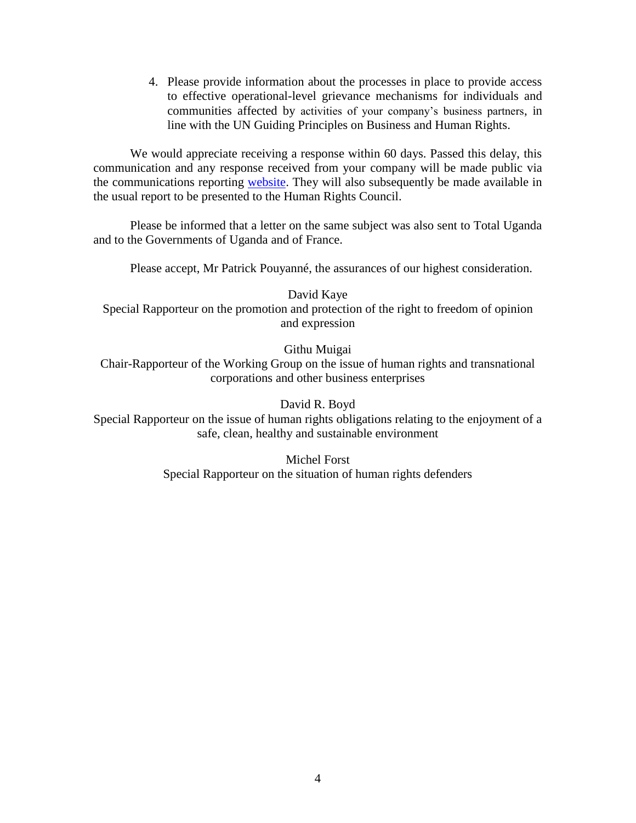4. Please provide information about the processes in place to provide access to effective operational-level grievance mechanisms for individuals and communities affected by activities of your company's business partners, in line with the UN Guiding Principles on Business and Human Rights.

We would appreciate receiving a response within 60 days. Passed this delay, this communication and any response received from your company will be made public via the communications reporting [website.](https://spcommreports.ohchr.org/) They will also subsequently be made available in the usual report to be presented to the Human Rights Council.

Please be informed that a letter on the same subject was also sent to Total Uganda and to the Governments of Uganda and of France.

Please accept, Mr Patrick Pouyanné, the assurances of our highest consideration.

David Kaye Special Rapporteur on the promotion and protection of the right to freedom of opinion and expression

Githu Muigai

Chair-Rapporteur of the Working Group on the issue of human rights and transnational corporations and other business enterprises

David R. Boyd

Special Rapporteur on the issue of human rights obligations relating to the enjoyment of a safe, clean, healthy and sustainable environment

> Michel Forst Special Rapporteur on the situation of human rights defenders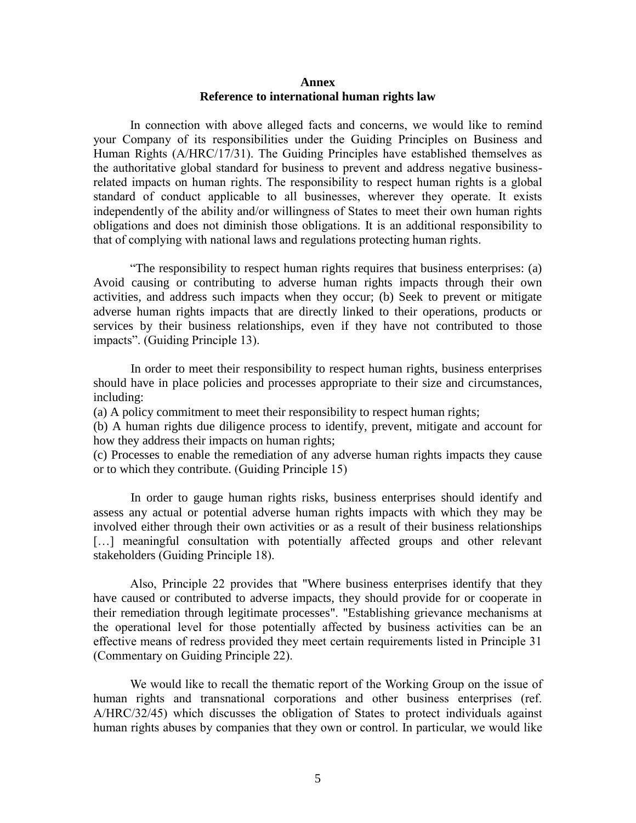## **Annex Reference to international human rights law**

In connection with above alleged facts and concerns, we would like to remind your Company of its responsibilities under the Guiding Principles on Business and Human Rights (A/HRC/17/31). The Guiding Principles have established themselves as the authoritative global standard for business to prevent and address negative businessrelated impacts on human rights. The responsibility to respect human rights is a global standard of conduct applicable to all businesses, wherever they operate. It exists independently of the ability and/or willingness of States to meet their own human rights obligations and does not diminish those obligations. It is an additional responsibility to that of complying with national laws and regulations protecting human rights.

"The responsibility to respect human rights requires that business enterprises: (a) Avoid causing or contributing to adverse human rights impacts through their own activities, and address such impacts when they occur; (b) Seek to prevent or mitigate adverse human rights impacts that are directly linked to their operations, products or services by their business relationships, even if they have not contributed to those impacts". (Guiding Principle 13).

In order to meet their responsibility to respect human rights, business enterprises should have in place policies and processes appropriate to their size and circumstances, including:

(a) A policy commitment to meet their responsibility to respect human rights;

(b) A human rights due diligence process to identify, prevent, mitigate and account for how they address their impacts on human rights;

(c) Processes to enable the remediation of any adverse human rights impacts they cause or to which they contribute. (Guiding Principle 15)

In order to gauge human rights risks, business enterprises should identify and assess any actual or potential adverse human rights impacts with which they may be involved either through their own activities or as a result of their business relationships [...] meaningful consultation with potentially affected groups and other relevant stakeholders (Guiding Principle 18).

Also, Principle 22 provides that "Where business enterprises identify that they have caused or contributed to adverse impacts, they should provide for or cooperate in their remediation through legitimate processes". "Establishing grievance mechanisms at the operational level for those potentially affected by business activities can be an effective means of redress provided they meet certain requirements listed in Principle 31 (Commentary on Guiding Principle 22).

We would like to recall the thematic report of the Working Group on the issue of human rights and transnational corporations and other business enterprises (ref. A/HRC/32/45) which discusses the obligation of States to protect individuals against human rights abuses by companies that they own or control. In particular, we would like